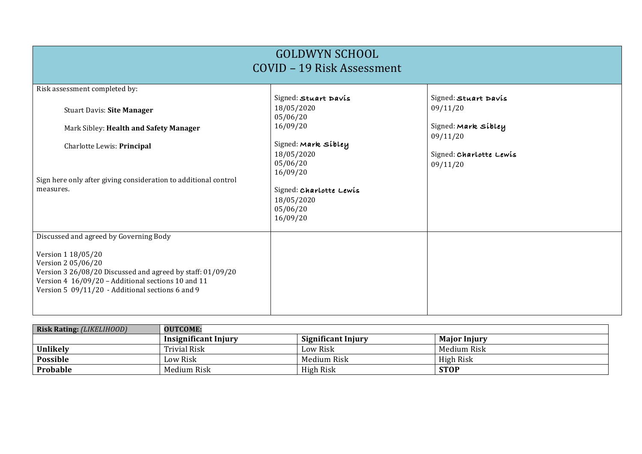| <b>GOLDWYN SCHOOL</b><br>COVID - 19 Risk Assessment                                                                                                                                                              |                                                                           |                                                 |  |  |
|------------------------------------------------------------------------------------------------------------------------------------------------------------------------------------------------------------------|---------------------------------------------------------------------------|-------------------------------------------------|--|--|
| Risk assessment completed by:                                                                                                                                                                                    |                                                                           |                                                 |  |  |
| <b>Stuart Davis: Site Manager</b>                                                                                                                                                                                | Signed: Stuart Davis<br>18/05/2020<br>05/06/20                            | Signed: Stuart Davis<br>09/11/20                |  |  |
| Mark Sibley: Health and Safety Manager                                                                                                                                                                           | 16/09/20                                                                  | Signed: Mark sibley                             |  |  |
| Charlotte Lewis: Principal                                                                                                                                                                                       | Signed: Mark sibley<br>18/05/2020<br>05/06/20                             | 09/11/20<br>Signed: Charlotte Lewis<br>09/11/20 |  |  |
| Sign here only after giving consideration to additional control<br>measures.                                                                                                                                     | 16/09/20<br>Signed: Charlotte Lewis<br>18/05/2020<br>05/06/20<br>16/09/20 |                                                 |  |  |
| Discussed and agreed by Governing Body                                                                                                                                                                           |                                                                           |                                                 |  |  |
| Version 1 18/05/20<br>Version 2 05/06/20<br>Version 3 26/08/20 Discussed and agreed by staff: 01/09/20<br>Version 4 16/09/20 - Additional sections 10 and 11<br>Version 5 09/11/20 - Additional sections 6 and 9 |                                                                           |                                                 |  |  |

| <b>Risk Rating: (LIKELIHOOD)</b> | <b>OUTCOME:</b>      |                           |                     |
|----------------------------------|----------------------|---------------------------|---------------------|
|                                  | Insignificant Injury | <b>Significant Injury</b> | <b>Major Injury</b> |
| Unlikely                         | Trivial Risk         | Low Risk                  | Medium Risk         |
| <b>Possible</b>                  | Low Risk             | Medium Risk               | High Risk           |
| Probable                         | Medium Risk          | High Risk                 | <b>STOP</b>         |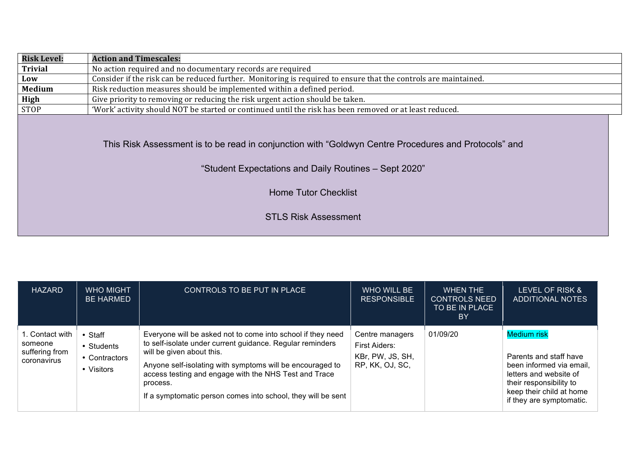| <b>Risk Level:</b> | <b>Action and Timescales:</b>                                                                                                                                 |  |
|--------------------|---------------------------------------------------------------------------------------------------------------------------------------------------------------|--|
| <b>Trivial</b>     | No action required and no documentary records are required                                                                                                    |  |
| Low                | Consider if the risk can be reduced further. Monitoring is required to ensure that the controls are maintained.                                               |  |
| Medium             | Risk reduction measures should be implemented within a defined period.                                                                                        |  |
| High               | Give priority to removing or reducing the risk urgent action should be taken.                                                                                 |  |
| <b>STOP</b>        | 'Work' activity should NOT be started or continued until the risk has been removed or at least reduced.                                                       |  |
|                    | This Risk Assessment is to be read in conjunction with "Goldwyn Centre Procedures and Protocols" and<br>"Student Expectations and Daily Routines - Sept 2020" |  |
|                    | <b>Home Tutor Checklist</b>                                                                                                                                   |  |
|                    | <b>STLS Risk Assessment</b>                                                                                                                                   |  |
|                    |                                                                                                                                                               |  |

| <b>HAZARD</b>                                               | <b>WHO MIGHT</b><br><b>BE HARMED</b>                       | CONTROLS TO BE PUT IN PLACE                                                                                                                                                                                                                                                                                                                             | WHO WILL BE<br><b>RESPONSIBLE</b>                                       | <b>WHEN THE</b><br><b>CONTROLS NEED</b><br>TO BE IN PLACE<br>BY | LEVEL OF RISK &<br>ADDITIONAL NOTES                                                                                                                                                   |
|-------------------------------------------------------------|------------------------------------------------------------|---------------------------------------------------------------------------------------------------------------------------------------------------------------------------------------------------------------------------------------------------------------------------------------------------------------------------------------------------------|-------------------------------------------------------------------------|-----------------------------------------------------------------|---------------------------------------------------------------------------------------------------------------------------------------------------------------------------------------|
| 1. Contact with<br>someone<br>suffering from<br>coronavirus | $\cdot$ Staff<br>• Students<br>• Contractors<br>• Visitors | Everyone will be asked not to come into school if they need<br>to self-isolate under current guidance. Regular reminders<br>will be given about this.<br>Anyone self-isolating with symptoms will be encouraged to<br>access testing and engage with the NHS Test and Trace<br>process.<br>If a symptomatic person comes into school, they will be sent | Centre managers<br>First Aiders:<br>KBr, PW, JS, SH,<br>RP, KK, OJ, SC, | 01/09/20                                                        | <b>Medium risk</b><br>Parents and staff have<br>been informed via email,<br>letters and website of<br>their responsibility to<br>keep their child at home<br>if they are symptomatic. |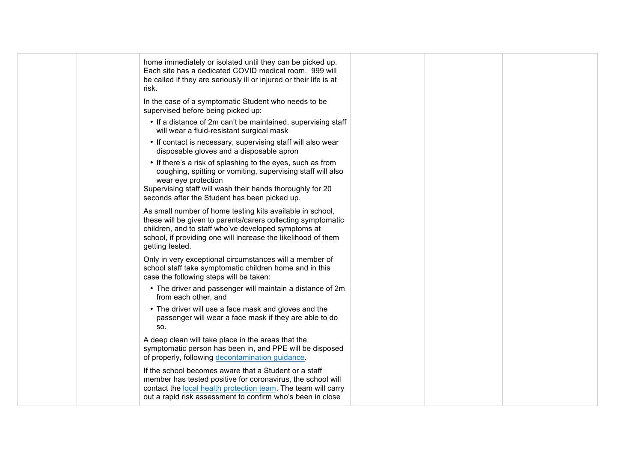| home immediately or isolated until they can be picked up.<br>Each site has a dedicated COVID medical room. 999 will<br>be called if they are seriously ill or injured or their life is at<br>risk.                                                                   |  |
|----------------------------------------------------------------------------------------------------------------------------------------------------------------------------------------------------------------------------------------------------------------------|--|
| In the case of a symptomatic Student who needs to be<br>supervised before being picked up:                                                                                                                                                                           |  |
| • If a distance of 2m can't be maintained, supervising staff<br>will wear a fluid-resistant surgical mask                                                                                                                                                            |  |
| • If contact is necessary, supervising staff will also wear<br>disposable gloves and a disposable apron                                                                                                                                                              |  |
| • If there's a risk of splashing to the eyes, such as from<br>coughing, spitting or vomiting, supervising staff will also<br>wear eye protection<br>Supervising staff will wash their hands thoroughly for 20<br>seconds after the Student has been picked up.       |  |
| As small number of home testing kits available in school,<br>these will be given to parents/carers collecting symptomatic<br>children, and to staff who've developed symptoms at<br>school, if providing one will increase the likelihood of them<br>getting tested. |  |
| Only in very exceptional circumstances will a member of<br>school staff take symptomatic children home and in this<br>case the following steps will be taken:                                                                                                        |  |
| • The driver and passenger will maintain a distance of 2m<br>from each other, and                                                                                                                                                                                    |  |
| • The driver will use a face mask and gloves and the<br>passenger will wear a face mask if they are able to do<br>SO.                                                                                                                                                |  |
| A deep clean will take place in the areas that the<br>symptomatic person has been in, and PPE will be disposed<br>of properly, following decontamination guidance.                                                                                                   |  |
| If the school becomes aware that a Student or a staff<br>member has tested positive for coronavirus, the school will<br>contact the local health protection team. The team will carry<br>out a rapid risk assessment to confirm who's been in close                  |  |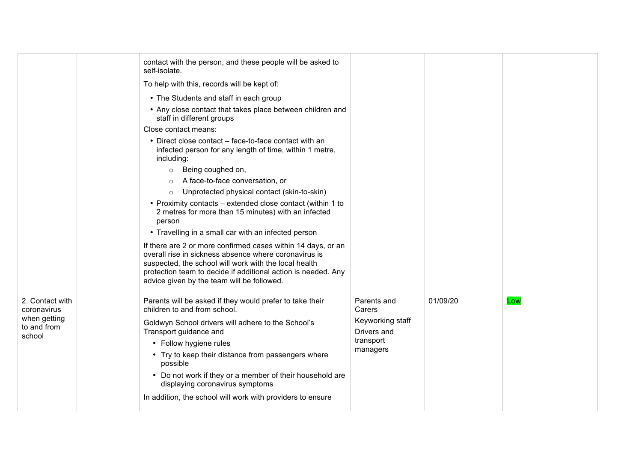|                                | contact with the person, and these people will be asked to<br>self-isolate.                                                                                                                                                                                                                   |                          |          |     |
|--------------------------------|-----------------------------------------------------------------------------------------------------------------------------------------------------------------------------------------------------------------------------------------------------------------------------------------------|--------------------------|----------|-----|
|                                | To help with this, records will be kept of:                                                                                                                                                                                                                                                   |                          |          |     |
|                                | • The Students and staff in each group                                                                                                                                                                                                                                                        |                          |          |     |
|                                | • Any close contact that takes place between children and<br>staff in different groups                                                                                                                                                                                                        |                          |          |     |
|                                | Close contact means:                                                                                                                                                                                                                                                                          |                          |          |     |
|                                | • Direct close contact – face-to-face contact with an<br>infected person for any length of time, within 1 metre,<br>including:                                                                                                                                                                |                          |          |     |
|                                | Being coughed on,<br>$\circ$                                                                                                                                                                                                                                                                  |                          |          |     |
|                                | A face-to-face conversation, or<br>$\circ$                                                                                                                                                                                                                                                    |                          |          |     |
|                                | Unprotected physical contact (skin-to-skin)<br>$\circ$                                                                                                                                                                                                                                        |                          |          |     |
|                                | • Proximity contacts – extended close contact (within 1 to<br>2 metres for more than 15 minutes) with an infected<br>person                                                                                                                                                                   |                          |          |     |
|                                | • Travelling in a small car with an infected person                                                                                                                                                                                                                                           |                          |          |     |
|                                | If there are 2 or more confirmed cases within 14 days, or an<br>overall rise in sickness absence where coronavirus is<br>suspected, the school will work with the local health<br>protection team to decide if additional action is needed. Any<br>advice given by the team will be followed. |                          |          |     |
| 2. Contact with<br>coronavirus | Parents will be asked if they would prefer to take their<br>children to and from school.                                                                                                                                                                                                      | Parents and<br>Carers    | 01/09/20 | Low |
| when getting<br>to and from    | Goldwyn School drivers will adhere to the School's                                                                                                                                                                                                                                            | Keyworking staff         |          |     |
| school                         | Transport guidance and                                                                                                                                                                                                                                                                        | Drivers and<br>transport |          |     |
|                                | • Follow hygiene rules                                                                                                                                                                                                                                                                        | managers                 |          |     |
|                                | • Try to keep their distance from passengers where<br>possible                                                                                                                                                                                                                                |                          |          |     |
|                                | • Do not work if they or a member of their household are<br>displaying coronavirus symptoms                                                                                                                                                                                                   |                          |          |     |
|                                | In addition, the school will work with providers to ensure                                                                                                                                                                                                                                    |                          |          |     |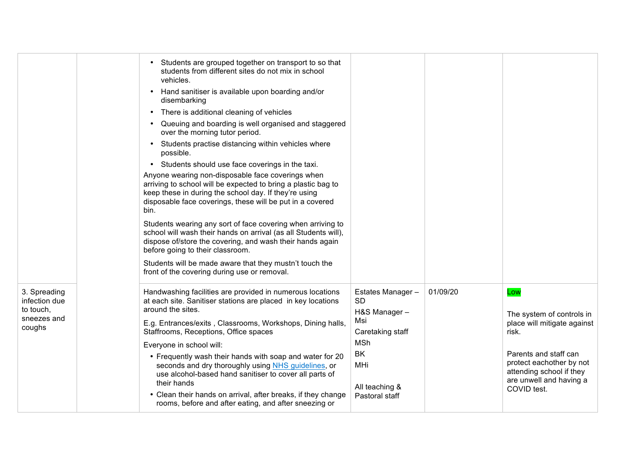|                                                                     | Students are grouped together on transport to so that<br>students from different sites do not mix in school<br>vehicles.<br>Hand sanitiser is available upon boarding and/or<br>$\bullet$<br>disembarking<br>There is additional cleaning of vehicles<br>٠<br>Queuing and boarding is well organised and staggered<br>over the morning tutor period.<br>Students practise distancing within vehicles where<br>$\bullet$<br>possible.<br>Students should use face coverings in the taxi.<br>$\bullet$<br>Anyone wearing non-disposable face coverings when<br>arriving to school will be expected to bring a plastic bag to<br>keep these in during the school day. If they're using<br>disposable face coverings, these will be put in a covered<br>bin.<br>Students wearing any sort of face covering when arriving to<br>school will wash their hands on arrival (as all Students will),<br>dispose of/store the covering, and wash their hands again<br>before going to their classroom.<br>Students will be made aware that they mustn't touch the<br>front of the covering during use or removal. |                                                                                                                                         |          |                                                                                                                                                                                                     |
|---------------------------------------------------------------------|--------------------------------------------------------------------------------------------------------------------------------------------------------------------------------------------------------------------------------------------------------------------------------------------------------------------------------------------------------------------------------------------------------------------------------------------------------------------------------------------------------------------------------------------------------------------------------------------------------------------------------------------------------------------------------------------------------------------------------------------------------------------------------------------------------------------------------------------------------------------------------------------------------------------------------------------------------------------------------------------------------------------------------------------------------------------------------------------------------|-----------------------------------------------------------------------------------------------------------------------------------------|----------|-----------------------------------------------------------------------------------------------------------------------------------------------------------------------------------------------------|
| 3. Spreading<br>infection due<br>to touch,<br>sneezes and<br>coughs | Handwashing facilities are provided in numerous locations<br>at each site. Sanitiser stations are placed in key locations<br>around the sites.<br>E.g. Entrances/exits, Classrooms, Workshops, Dining halls,<br>Staffrooms, Receptions, Office spaces<br>Everyone in school will:<br>• Frequently wash their hands with soap and water for 20<br>seconds and dry thoroughly using NHS guidelines, or<br>use alcohol-based hand sanitiser to cover all parts of<br>their hands<br>• Clean their hands on arrival, after breaks, if they change<br>rooms, before and after eating, and after sneezing or                                                                                                                                                                                                                                                                                                                                                                                                                                                                                                 | Estates Manager-<br><b>SD</b><br>H&S Manager-<br>Msi<br>Caretaking staff<br><b>MSh</b><br>BK<br>MHi<br>All teaching &<br>Pastoral staff | 01/09/20 | Low<br>The system of controls in<br>place will mitigate against<br>risk.<br>Parents and staff can<br>protect eachother by not<br>attending school if they<br>are unwell and having a<br>COVID test. |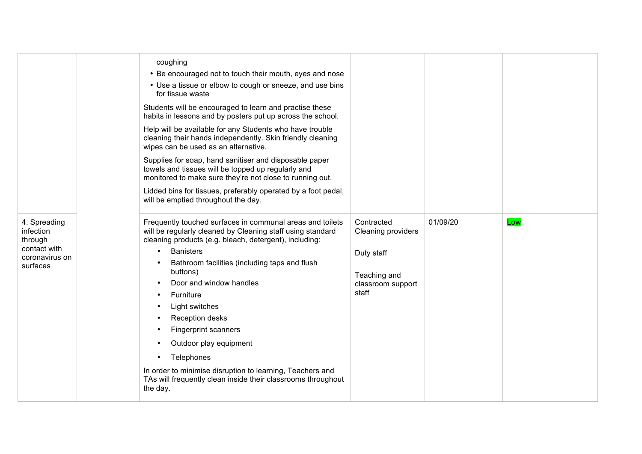|                                                                                    | coughing<br>• Be encouraged not to touch their mouth, eyes and nose<br>• Use a tissue or elbow to cough or sneeze, and use bins<br>for tissue waste<br>Students will be encouraged to learn and practise these<br>habits in lessons and by posters put up across the school.<br>Help will be available for any Students who have trouble<br>cleaning their hands independently. Skin friendly cleaning<br>wipes can be used as an alternative.<br>Supplies for soap, hand sanitiser and disposable paper<br>towels and tissues will be topped up regularly and<br>monitored to make sure they're not close to running out.<br>Lidded bins for tissues, preferably operated by a foot pedal,<br>will be emptied throughout the day. |                                                                                                     |          |     |
|------------------------------------------------------------------------------------|------------------------------------------------------------------------------------------------------------------------------------------------------------------------------------------------------------------------------------------------------------------------------------------------------------------------------------------------------------------------------------------------------------------------------------------------------------------------------------------------------------------------------------------------------------------------------------------------------------------------------------------------------------------------------------------------------------------------------------|-----------------------------------------------------------------------------------------------------|----------|-----|
| 4. Spreading<br>infection<br>through<br>contact with<br>coronavirus on<br>surfaces | Frequently touched surfaces in communal areas and toilets<br>will be regularly cleaned by Cleaning staff using standard<br>cleaning products (e.g. bleach, detergent), including:<br><b>Banisters</b><br>$\bullet$<br>Bathroom facilities (including taps and flush<br>buttons)<br>Door and window handles<br>Furniture<br>Light switches<br><b>Reception desks</b><br>Fingerprint scanners<br>Outdoor play equipment<br>Telephones<br>In order to minimise disruption to learning, Teachers and<br>TAs will frequently clean inside their classrooms throughout<br>the day.                                                                                                                                                       | Contracted<br><b>Cleaning providers</b><br>Duty staff<br>Teaching and<br>classroom support<br>staff | 01/09/20 | Low |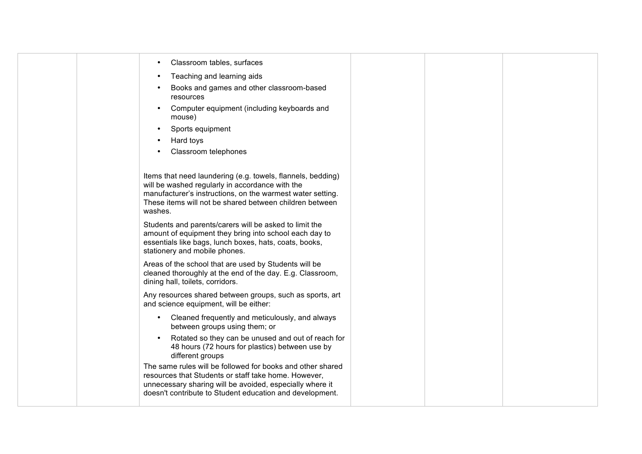| Classroom tables, surfaces                                                                                                                                                                                                                         |  |  |
|----------------------------------------------------------------------------------------------------------------------------------------------------------------------------------------------------------------------------------------------------|--|--|
| Teaching and learning aids                                                                                                                                                                                                                         |  |  |
| Books and games and other classroom-based<br>resources                                                                                                                                                                                             |  |  |
| Computer equipment (including keyboards and<br>mouse)                                                                                                                                                                                              |  |  |
| Sports equipment                                                                                                                                                                                                                                   |  |  |
| Hard toys                                                                                                                                                                                                                                          |  |  |
| Classroom telephones                                                                                                                                                                                                                               |  |  |
|                                                                                                                                                                                                                                                    |  |  |
| Items that need laundering (e.g. towels, flannels, bedding)<br>will be washed regularly in accordance with the<br>manufacturer's instructions, on the warmest water setting.<br>These items will not be shared between children between<br>washes. |  |  |
| Students and parents/carers will be asked to limit the<br>amount of equipment they bring into school each day to<br>essentials like bags, lunch boxes, hats, coats, books,<br>stationery and mobile phones.                                        |  |  |
| Areas of the school that are used by Students will be<br>cleaned thoroughly at the end of the day. E.g. Classroom,<br>dining hall, toilets, corridors.                                                                                             |  |  |
| Any resources shared between groups, such as sports, art<br>and science equipment, will be either:                                                                                                                                                 |  |  |
| Cleaned frequently and meticulously, and always<br>$\bullet$<br>between groups using them; or                                                                                                                                                      |  |  |
| Rotated so they can be unused and out of reach for<br>$\bullet$<br>48 hours (72 hours for plastics) between use by<br>different groups                                                                                                             |  |  |
| The same rules will be followed for books and other shared<br>resources that Students or staff take home. However,<br>unnecessary sharing will be avoided, especially where it<br>doesn't contribute to Student education and development.         |  |  |
|                                                                                                                                                                                                                                                    |  |  |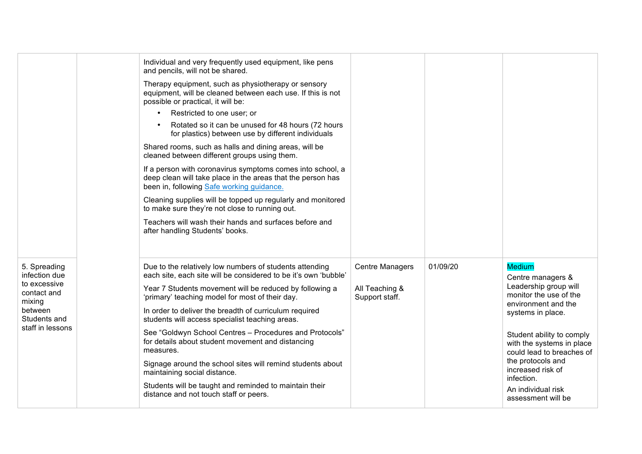|                                                                                                                       | Individual and very frequently used equipment, like pens<br>and pencils, will not be shared.<br>Therapy equipment, such as physiotherapy or sensory<br>equipment, will be cleaned between each use. If this is not<br>possible or practical, it will be:<br>Restricted to one user; or<br>Rotated so it can be unused for 48 hours (72 hours<br>for plastics) between use by different individuals<br>Shared rooms, such as halls and dining areas, will be<br>cleaned between different groups using them.<br>If a person with coronavirus symptoms comes into school, a<br>deep clean will take place in the areas that the person has<br>been in, following Safe working guidance.<br>Cleaning supplies will be topped up regularly and monitored<br>to make sure they're not close to running out.<br>Teachers will wash their hands and surfaces before and<br>after handling Students' books. |                                                            |          |                                                                                                                                                                                                                                                                                                                              |
|-----------------------------------------------------------------------------------------------------------------------|-----------------------------------------------------------------------------------------------------------------------------------------------------------------------------------------------------------------------------------------------------------------------------------------------------------------------------------------------------------------------------------------------------------------------------------------------------------------------------------------------------------------------------------------------------------------------------------------------------------------------------------------------------------------------------------------------------------------------------------------------------------------------------------------------------------------------------------------------------------------------------------------------------|------------------------------------------------------------|----------|------------------------------------------------------------------------------------------------------------------------------------------------------------------------------------------------------------------------------------------------------------------------------------------------------------------------------|
| 5. Spreading<br>infection due<br>to excessive<br>contact and<br>mixing<br>between<br>Students and<br>staff in lessons | Due to the relatively low numbers of students attending<br>each site, each site will be considered to be it's own 'bubble'<br>Year 7 Students movement will be reduced by following a<br>'primary' teaching model for most of their day.<br>In order to deliver the breadth of curriculum required<br>students will access specialist teaching areas.<br>See "Goldwyn School Centres - Procedures and Protocols"<br>for details about student movement and distancing<br>measures.<br>Signage around the school sites will remind students about<br>maintaining social distance.<br>Students will be taught and reminded to maintain their<br>distance and not touch staff or peers.                                                                                                                                                                                                                | <b>Centre Managers</b><br>All Teaching &<br>Support staff. | 01/09/20 | <b>Medium</b><br>Centre managers &<br>Leadership group will<br>monitor the use of the<br>environment and the<br>systems in place.<br>Student ability to comply<br>with the systems in place<br>could lead to breaches of<br>the protocols and<br>increased risk of<br>infection.<br>An individual risk<br>assessment will be |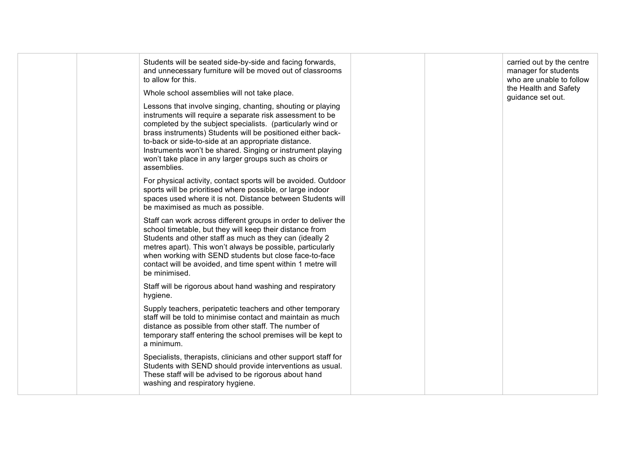| Students will be seated side-by-side and facing forwards,<br>and unnecessary furniture will be moved out of classrooms<br>to allow for this.<br>Whole school assemblies will not take place.                                                                                                                                                                                                                                                          | carried out by the centre<br>manager for students<br>who are unable to follow<br>the Health and Safety<br>guidance set out. |
|-------------------------------------------------------------------------------------------------------------------------------------------------------------------------------------------------------------------------------------------------------------------------------------------------------------------------------------------------------------------------------------------------------------------------------------------------------|-----------------------------------------------------------------------------------------------------------------------------|
| Lessons that involve singing, chanting, shouting or playing<br>instruments will require a separate risk assessment to be<br>completed by the subject specialists. (particularly wind or<br>brass instruments) Students will be positioned either back-<br>to-back or side-to-side at an appropriate distance.<br>Instruments won't be shared. Singing or instrument playing<br>won't take place in any larger groups such as choirs or<br>assemblies. |                                                                                                                             |
| For physical activity, contact sports will be avoided. Outdoor<br>sports will be prioritised where possible, or large indoor<br>spaces used where it is not. Distance between Students will<br>be maximised as much as possible.                                                                                                                                                                                                                      |                                                                                                                             |
| Staff can work across different groups in order to deliver the<br>school timetable, but they will keep their distance from<br>Students and other staff as much as they can (ideally 2<br>metres apart). This won't always be possible, particularly<br>when working with SEND students but close face-to-face<br>contact will be avoided, and time spent within 1 metre will<br>be minimised.                                                         |                                                                                                                             |
| Staff will be rigorous about hand washing and respiratory<br>hygiene.                                                                                                                                                                                                                                                                                                                                                                                 |                                                                                                                             |
| Supply teachers, peripatetic teachers and other temporary<br>staff will be told to minimise contact and maintain as much<br>distance as possible from other staff. The number of<br>temporary staff entering the school premises will be kept to<br>a minimum.                                                                                                                                                                                        |                                                                                                                             |
| Specialists, therapists, clinicians and other support staff for<br>Students with SEND should provide interventions as usual.<br>These staff will be advised to be rigorous about hand<br>washing and respiratory hygiene.                                                                                                                                                                                                                             |                                                                                                                             |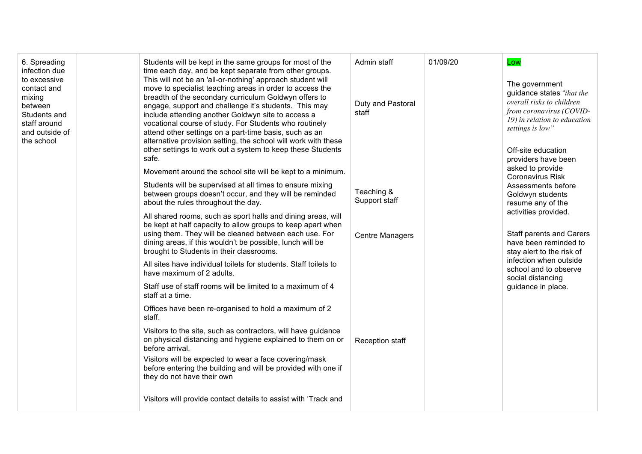| 6. Spreading<br>infection due<br>to excessive<br>contact and<br>mixing<br>between<br>Students and<br>staff around<br>and outside of<br>the school |                                                                                                                                                     | Students will be kept in the same groups for most of the<br>time each day, and be kept separate from other groups.<br>This will not be an 'all-or-nothing' approach student will<br>move to specialist teaching areas in order to access the<br>breadth of the secondary curriculum Goldwyn offers to<br>engage, support and challenge it's students. This may<br>include attending another Goldwyn site to access a<br>vocational course of study. For Students who routinely<br>attend other settings on a part-time basis, such as an<br>alternative provision setting, the school will work with these<br>other settings to work out a system to keep these Students | Admin staff<br>Duty and Pastoral<br>staff | 01/09/20                                                                                                                    | Low<br>The government<br>guidance states "that the<br>overall risks to children<br>from coronavirus (COVID-<br>19) in relation to education<br>settings is low"<br>Off-site education |
|---------------------------------------------------------------------------------------------------------------------------------------------------|-----------------------------------------------------------------------------------------------------------------------------------------------------|--------------------------------------------------------------------------------------------------------------------------------------------------------------------------------------------------------------------------------------------------------------------------------------------------------------------------------------------------------------------------------------------------------------------------------------------------------------------------------------------------------------------------------------------------------------------------------------------------------------------------------------------------------------------------|-------------------------------------------|-----------------------------------------------------------------------------------------------------------------------------|---------------------------------------------------------------------------------------------------------------------------------------------------------------------------------------|
|                                                                                                                                                   | safe.<br>about the rules throughout the day.<br>brought to Students in their classrooms.<br>have maximum of 2 adults.<br>staff at a time.<br>staff. | Movement around the school site will be kept to a minimum.<br>Students will be supervised at all times to ensure mixing<br>between groups doesn't occur, and they will be reminded                                                                                                                                                                                                                                                                                                                                                                                                                                                                                       | Teaching &                                |                                                                                                                             | providers have been<br>asked to provide<br><b>Coronavirus Risk</b><br>Assessments before<br>Goldwyn students                                                                          |
|                                                                                                                                                   |                                                                                                                                                     | All shared rooms, such as sport halls and dining areas, will<br>be kept at half capacity to allow groups to keep apart when<br>using them. They will be cleaned between each use. For<br>dining areas, if this wouldn't be possible, lunch will be                                                                                                                                                                                                                                                                                                                                                                                                                       | Support staff<br><b>Centre Managers</b>   | resume any of the<br>activities provided.<br>Staff parents and Carers<br>have been reminded to<br>stay alert to the risk of |                                                                                                                                                                                       |
|                                                                                                                                                   |                                                                                                                                                     | All sites have individual toilets for students. Staff toilets to<br>Staff use of staff rooms will be limited to a maximum of 4                                                                                                                                                                                                                                                                                                                                                                                                                                                                                                                                           |                                           |                                                                                                                             | infection when outside<br>school and to observe<br>social distancing<br>guidance in place.                                                                                            |
|                                                                                                                                                   |                                                                                                                                                     | Offices have been re-organised to hold a maximum of 2                                                                                                                                                                                                                                                                                                                                                                                                                                                                                                                                                                                                                    |                                           |                                                                                                                             |                                                                                                                                                                                       |
|                                                                                                                                                   |                                                                                                                                                     | Visitors to the site, such as contractors, will have guidance<br>on physical distancing and hygiene explained to them on or<br>before arrival.<br>Visitors will be expected to wear a face covering/mask                                                                                                                                                                                                                                                                                                                                                                                                                                                                 | <b>Reception staff</b>                    |                                                                                                                             |                                                                                                                                                                                       |
|                                                                                                                                                   |                                                                                                                                                     | before entering the building and will be provided with one if<br>they do not have their own                                                                                                                                                                                                                                                                                                                                                                                                                                                                                                                                                                              |                                           |                                                                                                                             |                                                                                                                                                                                       |
|                                                                                                                                                   |                                                                                                                                                     | Visitors will provide contact details to assist with 'Track and                                                                                                                                                                                                                                                                                                                                                                                                                                                                                                                                                                                                          |                                           |                                                                                                                             |                                                                                                                                                                                       |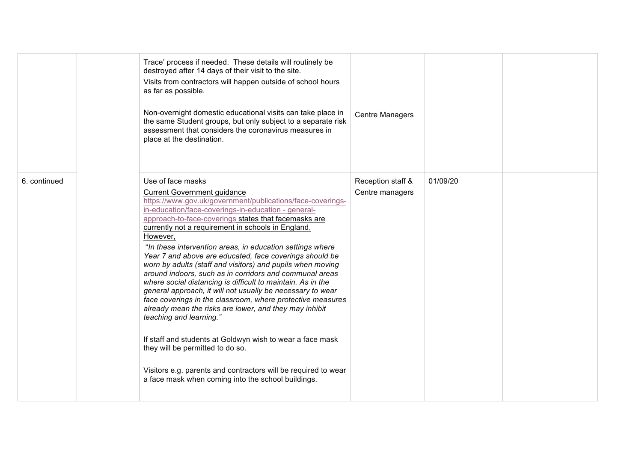|              |          | Trace' process if needed. These details will routinely be<br>destroyed after 14 days of their visit to the site.<br>Visits from contractors will happen outside of school hours<br>as far as possible.<br>Non-overnight domestic educational visits can take place in<br>the same Student groups, but only subject to a separate risk<br>assessment that considers the coronavirus measures in<br>place at the destination.                                                                                                                                                                                                                                                                                                                                                                                                                                                                                                                                                                                                                          | <b>Centre Managers</b>               |          |  |
|--------------|----------|------------------------------------------------------------------------------------------------------------------------------------------------------------------------------------------------------------------------------------------------------------------------------------------------------------------------------------------------------------------------------------------------------------------------------------------------------------------------------------------------------------------------------------------------------------------------------------------------------------------------------------------------------------------------------------------------------------------------------------------------------------------------------------------------------------------------------------------------------------------------------------------------------------------------------------------------------------------------------------------------------------------------------------------------------|--------------------------------------|----------|--|
| 6. continued | However, | Use of face masks<br><b>Current Government guidance</b><br>https://www.gov.uk/government/publications/face-coverings-<br>in-education/face-coverings-in-education - general-<br>approach-to-face-coverings states that facemasks are<br>currently not a requirement in schools in England.<br>"In these intervention areas, in education settings where<br>Year 7 and above are educated, face coverings should be<br>worn by adults (staff and visitors) and pupils when moving<br>around indoors, such as in corridors and communal areas<br>where social distancing is difficult to maintain. As in the<br>general approach, it will not usually be necessary to wear<br>face coverings in the classroom, where protective measures<br>already mean the risks are lower, and they may inhibit<br>teaching and learning."<br>If staff and students at Goldwyn wish to wear a face mask<br>they will be permitted to do so.<br>Visitors e.g. parents and contractors will be required to wear<br>a face mask when coming into the school buildings. | Reception staff &<br>Centre managers | 01/09/20 |  |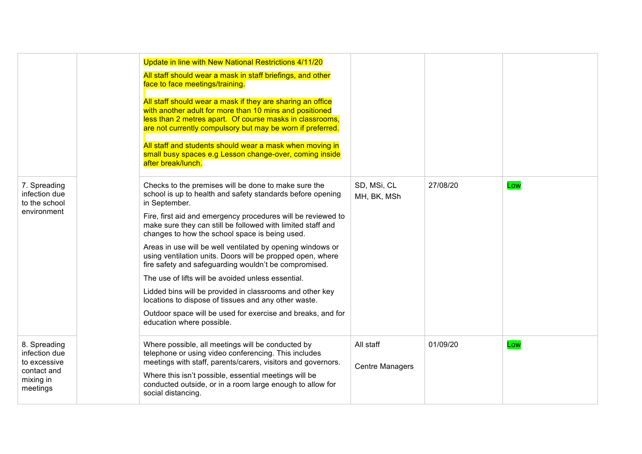|                                                                                       | Update in line with New National Restrictions 4/11/20<br>All staff should wear a mask in staff briefings, and other<br>face to face meetings/training.<br>All staff should wear a mask if they are sharing an office<br>with another adult for more than 10 mins and positioned<br>less than 2 metres apart. Of course masks in classrooms,<br>are not currently compulsory but may be worn if preferred.<br>All staff and students should wear a mask when moving in<br>small busy spaces e.g Lesson change-over, coming inside<br>after break/lunch.                                                                                                                                                                                                                          |                                     |          |     |
|---------------------------------------------------------------------------------------|---------------------------------------------------------------------------------------------------------------------------------------------------------------------------------------------------------------------------------------------------------------------------------------------------------------------------------------------------------------------------------------------------------------------------------------------------------------------------------------------------------------------------------------------------------------------------------------------------------------------------------------------------------------------------------------------------------------------------------------------------------------------------------|-------------------------------------|----------|-----|
| 7. Spreading<br>infection due<br>to the school<br>environment                         | Checks to the premises will be done to make sure the<br>school is up to health and safety standards before opening<br>in September.<br>Fire, first aid and emergency procedures will be reviewed to<br>make sure they can still be followed with limited staff and<br>changes to how the school space is being used.<br>Areas in use will be well ventilated by opening windows or<br>using ventilation units. Doors will be propped open, where<br>fire safety and safeguarding wouldn't be compromised.<br>The use of lifts will be avoided unless essential.<br>Lidded bins will be provided in classrooms and other key<br>locations to dispose of tissues and any other waste.<br>Outdoor space will be used for exercise and breaks, and for<br>education where possible. | SD, MSi, CL<br>MH, BK, MSh          | 27/08/20 | Low |
| 8. Spreading<br>infection due<br>to excessive<br>contact and<br>mixing in<br>meetings | Where possible, all meetings will be conducted by<br>telephone or using video conferencing. This includes<br>meetings with staff, parents/carers, visitors and governors.<br>Where this isn't possible, essential meetings will be<br>conducted outside, or in a room large enough to allow for<br>social distancing.                                                                                                                                                                                                                                                                                                                                                                                                                                                           | All staff<br><b>Centre Managers</b> | 01/09/20 | Low |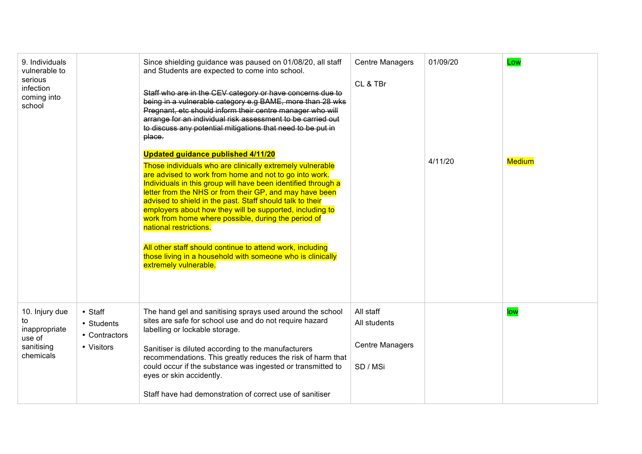| 9. Individuals<br>vulnerable to<br>serious<br>infection<br>coming into<br>school |                                                      | Since shielding guidance was paused on 01/08/20, all staff<br>and Students are expected to come into school.<br>Staff who are in the CEV category or have concerns due to<br>being in a vulnerable category e.g BAME, more than 28 wks<br>Pregnant, etc should inform their centre manager who will<br>arrange for an individual risk assessment to be carried out<br>to discuss any potential mitigations that need to be put in<br>place.<br><b>Updated guidance published 4/11/20</b><br>Those individuals who are clinically extremely vulnerable<br>are advised to work from home and not to go into work.<br>Individuals in this group will have been identified through a<br>letter from the NHS or from their GP, and may have been<br>advised to shield in the past. Staff should talk to their<br>employers about how they will be supported, including to<br>work from home where possible, during the period of<br>national restrictions.<br>All other staff should continue to attend work, including<br>those living in a household with someone who is clinically<br>extremely vulnerable. | <b>Centre Managers</b><br>CL & TBr                              | 01/09/20<br>4/11/20 | Low<br><b>Medium</b> |
|----------------------------------------------------------------------------------|------------------------------------------------------|-----------------------------------------------------------------------------------------------------------------------------------------------------------------------------------------------------------------------------------------------------------------------------------------------------------------------------------------------------------------------------------------------------------------------------------------------------------------------------------------------------------------------------------------------------------------------------------------------------------------------------------------------------------------------------------------------------------------------------------------------------------------------------------------------------------------------------------------------------------------------------------------------------------------------------------------------------------------------------------------------------------------------------------------------------------------------------------------------------------|-----------------------------------------------------------------|---------------------|----------------------|
| 10. Injury due<br>to<br>inappropriate<br>use of<br>sanitising<br>chemicals       | • Staff<br>• Students<br>• Contractors<br>• Visitors | The hand gel and sanitising sprays used around the school<br>sites are safe for school use and do not require hazard<br>labelling or lockable storage.<br>Sanitiser is diluted according to the manufacturers<br>recommendations. This greatly reduces the risk of harm that<br>could occur if the substance was ingested or transmitted to<br>eyes or skin accidently.<br>Staff have had demonstration of correct use of sanitiser                                                                                                                                                                                                                                                                                                                                                                                                                                                                                                                                                                                                                                                                       | All staff<br>All students<br><b>Centre Managers</b><br>SD / MSi |                     | low                  |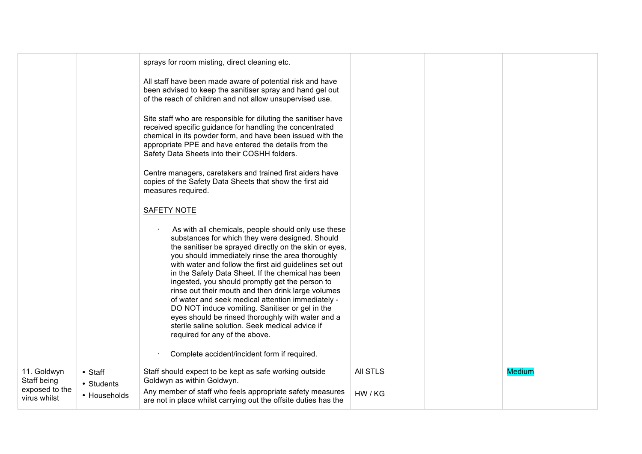|                                                              |                                       | sprays for room misting, direct cleaning etc.<br>All staff have been made aware of potential risk and have<br>been advised to keep the sanitiser spray and hand gel out<br>of the reach of children and not allow unsupervised use.                                                                                                                                                                                                                                                                                                                                                                                                                                                             |                            |               |
|--------------------------------------------------------------|---------------------------------------|-------------------------------------------------------------------------------------------------------------------------------------------------------------------------------------------------------------------------------------------------------------------------------------------------------------------------------------------------------------------------------------------------------------------------------------------------------------------------------------------------------------------------------------------------------------------------------------------------------------------------------------------------------------------------------------------------|----------------------------|---------------|
|                                                              |                                       | Site staff who are responsible for diluting the sanitiser have<br>received specific guidance for handling the concentrated<br>chemical in its powder form, and have been issued with the<br>appropriate PPE and have entered the details from the<br>Safety Data Sheets into their COSHH folders.                                                                                                                                                                                                                                                                                                                                                                                               |                            |               |
|                                                              |                                       | Centre managers, caretakers and trained first aiders have<br>copies of the Safety Data Sheets that show the first aid<br>measures required.                                                                                                                                                                                                                                                                                                                                                                                                                                                                                                                                                     |                            |               |
|                                                              |                                       | <b>SAFETY NOTE</b>                                                                                                                                                                                                                                                                                                                                                                                                                                                                                                                                                                                                                                                                              |                            |               |
|                                                              |                                       | As with all chemicals, people should only use these<br>substances for which they were designed. Should<br>the sanitiser be sprayed directly on the skin or eyes,<br>you should immediately rinse the area thoroughly<br>with water and follow the first aid guidelines set out<br>in the Safety Data Sheet. If the chemical has been<br>ingested, you should promptly get the person to<br>rinse out their mouth and then drink large volumes<br>of water and seek medical attention immediately -<br>DO NOT induce vomiting. Sanitiser or gel in the<br>eyes should be rinsed thoroughly with water and a<br>sterile saline solution. Seek medical advice if<br>required for any of the above. |                            |               |
|                                                              |                                       | Complete accident/incident form if required.                                                                                                                                                                                                                                                                                                                                                                                                                                                                                                                                                                                                                                                    |                            |               |
| 11. Goldwyn<br>Staff being<br>exposed to the<br>virus whilst | • Staff<br>• Students<br>• Households | Staff should expect to be kept as safe working outside<br>Goldwyn as within Goldwyn.<br>Any member of staff who feels appropriate safety measures<br>are not in place whilst carrying out the offsite duties has the                                                                                                                                                                                                                                                                                                                                                                                                                                                                            | <b>All STLS</b><br>HW / KG | <b>Medium</b> |